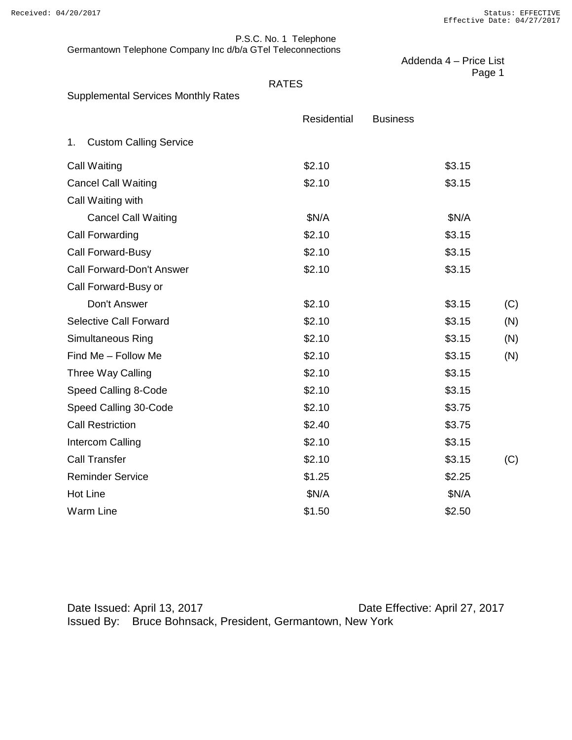#### Received: 04/20/2017 Status: EFFECTIVE Effective Date: 04/27/2017

P.S.C. No. 1 Telephone Germantown Telephone Company Inc d/b/a GTel Teleconnections

|                                            |              | Addenda 4 - Price List |        |
|--------------------------------------------|--------------|------------------------|--------|
|                                            | <b>RATES</b> |                        | Page 1 |
| <b>Supplemental Services Monthly Rates</b> |              |                        |        |
|                                            | Residential  | <b>Business</b>        |        |
| <b>Custom Calling Service</b><br>1.        |              |                        |        |
| <b>Call Waiting</b>                        | \$2.10       | \$3.15                 |        |
| <b>Cancel Call Waiting</b>                 | \$2.10       | \$3.15                 |        |
| Call Waiting with                          |              |                        |        |
| <b>Cancel Call Waiting</b>                 | \$N/A        | \$N/A                  |        |
| Call Forwarding                            | \$2.10       | \$3.15                 |        |
| Call Forward-Busy                          | \$2.10       | \$3.15                 |        |
| Call Forward-Don't Answer                  | \$2.10       | \$3.15                 |        |
| Call Forward-Busy or                       |              |                        |        |
| Don't Answer                               | \$2.10       | \$3.15                 | (C)    |
| <b>Selective Call Forward</b>              | \$2.10       | \$3.15                 | (N)    |
| Simultaneous Ring                          | \$2.10       | \$3.15                 | (N)    |
| Find Me - Follow Me                        | \$2.10       | \$3.15                 | (N)    |
| Three Way Calling                          | \$2.10       | \$3.15                 |        |
| Speed Calling 8-Code                       | \$2.10       | \$3.15                 |        |
| Speed Calling 30-Code                      | \$2.10       | \$3.75                 |        |
| <b>Call Restriction</b>                    | \$2.40       | \$3.75                 |        |
| Intercom Calling                           | \$2.10       | \$3.15                 |        |
| <b>Call Transfer</b>                       | \$2.10       | \$3.15                 | (C)    |
| <b>Reminder Service</b>                    | \$1.25       | \$2.25                 |        |
| <b>Hot Line</b>                            | \$N/A        | \$N/A                  |        |
| <b>Warm Line</b>                           | \$1.50       | \$2.50                 |        |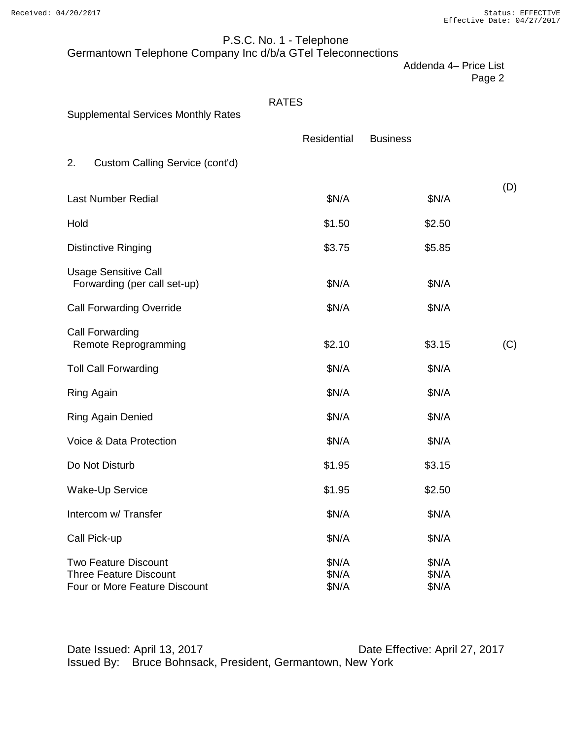# P.S.C. No. 1 - Telephone

Germantown Telephone Company Inc d/b/a GTel Teleconnections

Addenda 4– Price List

Page 2

| <b>Supplemental Services Monthly Rates</b>                                                    | <b>RATES</b>            |                         |     |
|-----------------------------------------------------------------------------------------------|-------------------------|-------------------------|-----|
|                                                                                               | Residential             | <b>Business</b>         |     |
| 2.<br>Custom Calling Service (cont'd)                                                         |                         |                         |     |
| <b>Last Number Redial</b>                                                                     | \$N/A                   | \$N/A                   | (D) |
| Hold                                                                                          | \$1.50                  | \$2.50                  |     |
| <b>Distinctive Ringing</b>                                                                    | \$3.75                  | \$5.85                  |     |
| <b>Usage Sensitive Call</b><br>Forwarding (per call set-up)                                   | \$N/A                   | \$N/A                   |     |
| <b>Call Forwarding Override</b>                                                               | \$N/A                   | \$N/A                   |     |
| Call Forwarding<br>Remote Reprogramming                                                       | \$2.10                  | \$3.15                  | (C) |
| <b>Toll Call Forwarding</b>                                                                   | \$N/A                   | \$N/A                   |     |
| <b>Ring Again</b>                                                                             | \$N/A                   | \$N/A                   |     |
| <b>Ring Again Denied</b>                                                                      | \$N/A                   | \$N/A                   |     |
| Voice & Data Protection                                                                       | \$N/A                   | \$N/A                   |     |
| Do Not Disturb                                                                                | \$1.95                  | \$3.15                  |     |
| <b>Wake-Up Service</b>                                                                        | \$1.95                  | \$2.50                  |     |
| Intercom w/ Transfer                                                                          | \$N/A                   | \$N/A                   |     |
| Call Pick-up                                                                                  | \$N/A                   | \$N/A                   |     |
| <b>Two Feature Discount</b><br><b>Three Feature Discount</b><br>Four or More Feature Discount | \$N/A<br>\$N/A<br>\$N/A | \$N/A<br>\$N/A<br>\$N/A |     |

Date Issued: April 13, 2017 **Date Effective: April 27, 2017** Issued By: Bruce Bohnsack, President, Germantown, New York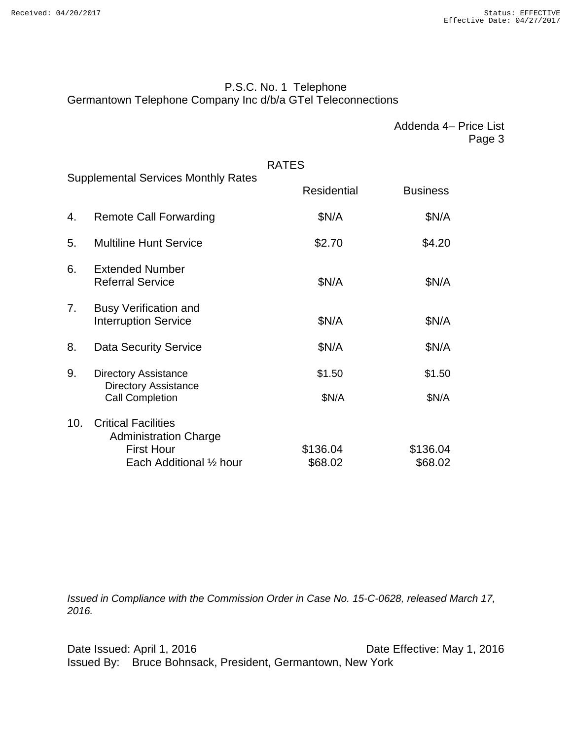# P.S.C. No. 1 Telephone Germantown Telephone Company Inc d/b/a GTel Teleconnections

Addenda 4– Price List Page 3

## RATES

|                                                                                            | <b>Supplemental Services Monthly Rates</b>                  |                    |                 |
|--------------------------------------------------------------------------------------------|-------------------------------------------------------------|--------------------|-----------------|
|                                                                                            |                                                             | <b>Residential</b> | <b>Business</b> |
| 4.                                                                                         | <b>Remote Call Forwarding</b>                               | \$N/A              | \$N/A           |
| 5.                                                                                         | <b>Multiline Hunt Service</b>                               | \$2.70             | \$4.20          |
| 6.                                                                                         | <b>Extended Number</b><br><b>Referral Service</b>           | \$N/A              | \$N/A           |
| 7.                                                                                         | <b>Busy Verification and</b><br><b>Interruption Service</b> | \$N/A              | \$N/A           |
| 8.                                                                                         | <b>Data Security Service</b>                                | \$N/A              | \$N/A           |
| 9.<br><b>Directory Assistance</b><br><b>Directory Assistance</b><br><b>Call Completion</b> | \$1.50                                                      | \$1.50             |                 |
|                                                                                            |                                                             | \$N/A              | \$N/A           |
| 10.                                                                                        | <b>Critical Facilities</b><br><b>Administration Charge</b>  |                    |                 |
|                                                                                            | <b>First Hour</b>                                           | \$136.04           | \$136.04        |
|                                                                                            | Each Additional 1/2 hour                                    | \$68.02            | \$68.02         |

*Issued in Compliance with the Commission Order in Case No. 15-C-0628, released March 17, 2016.*

Date Issued: April 1, 2016 **Date Effective: May 1, 2016** Issued By: Bruce Bohnsack, President, Germantown, New York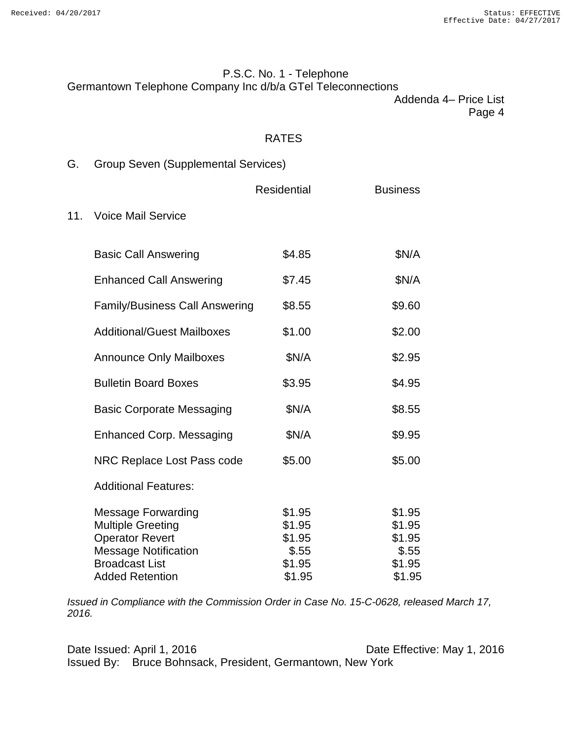$11.$ 

# P.S.C. No. 1 - Telephone Germantown Telephone Company Inc d/b/a GTel Teleconnections

Addenda 4– Price List Page 4

### RATES

| G. |  | <b>Group Seven (Supplemental Services)</b> |
|----|--|--------------------------------------------|
|----|--|--------------------------------------------|

|                                                                                                                                         | <b>Residential</b>                            | <b>Business</b>                               |
|-----------------------------------------------------------------------------------------------------------------------------------------|-----------------------------------------------|-----------------------------------------------|
| <b>Voice Mail Service</b>                                                                                                               |                                               |                                               |
| <b>Basic Call Answering</b>                                                                                                             | \$4.85                                        | \$N/A                                         |
| <b>Enhanced Call Answering</b>                                                                                                          | \$7.45                                        | \$N/A                                         |
| <b>Family/Business Call Answering</b>                                                                                                   | \$8.55                                        | \$9.60                                        |
| <b>Additional/Guest Mailboxes</b>                                                                                                       | \$1.00                                        | \$2.00                                        |
| <b>Announce Only Mailboxes</b>                                                                                                          | \$N/A                                         | \$2.95                                        |
| <b>Bulletin Board Boxes</b>                                                                                                             | \$3.95                                        | \$4.95                                        |
| <b>Basic Corporate Messaging</b>                                                                                                        | \$N/A                                         | \$8.55                                        |
| <b>Enhanced Corp. Messaging</b>                                                                                                         | \$N/A                                         | \$9.95                                        |
| NRC Replace Lost Pass code                                                                                                              | \$5.00                                        | \$5.00                                        |
| <b>Additional Features:</b>                                                                                                             |                                               |                                               |
| <b>Message Forwarding</b><br><b>Multiple Greeting</b><br><b>Operator Revert</b><br><b>Message Notification</b><br><b>Broadcast List</b> | \$1.95<br>\$1.95<br>\$1.95<br>\$.55<br>\$1.95 | \$1.95<br>\$1.95<br>\$1.95<br>\$.55<br>\$1.95 |
| <b>Added Retention</b>                                                                                                                  | \$1.95                                        | \$1.95                                        |

*Issued in Compliance with the Commission Order in Case No. 15-C-0628, released March 17, 2016.*

Date Issued: April 1, 2016 **Date Effective: May 1, 2016** Issued By: Bruce Bohnsack, President, Germantown, New York